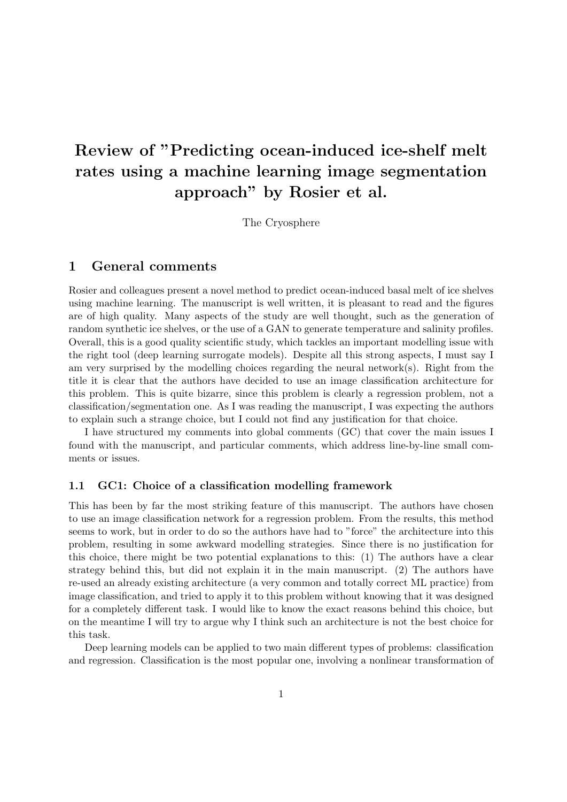# Review of "Predicting ocean-induced ice-shelf melt rates using a machine learning image segmentation approach" by Rosier et al.

The Cryosphere

# 1 General comments

Rosier and colleagues present a novel method to predict ocean-induced basal melt of ice shelves using machine learning. The manuscript is well written, it is pleasant to read and the figures are of high quality. Many aspects of the study are well thought, such as the generation of random synthetic ice shelves, or the use of a GAN to generate temperature and salinity profiles. Overall, this is a good quality scientific study, which tackles an important modelling issue with the right tool (deep learning surrogate models). Despite all this strong aspects, I must say I am very surprised by the modelling choices regarding the neural network(s). Right from the title it is clear that the authors have decided to use an image classification architecture for this problem. This is quite bizarre, since this problem is clearly a regression problem, not a classification/segmentation one. As I was reading the manuscript, I was expecting the authors to explain such a strange choice, but I could not find any justification for that choice.

I have structured my comments into global comments (GC) that cover the main issues I found with the manuscript, and particular comments, which address line-by-line small comments or issues.

### 1.1 GC1: Choice of a classification modelling framework

This has been by far the most striking feature of this manuscript. The authors have chosen to use an image classification network for a regression problem. From the results, this method seems to work, but in order to do so the authors have had to "force" the architecture into this problem, resulting in some awkward modelling strategies. Since there is no justification for this choice, there might be two potential explanations to this: (1) The authors have a clear strategy behind this, but did not explain it in the main manuscript. (2) The authors have re-used an already existing architecture (a very common and totally correct ML practice) from image classification, and tried to apply it to this problem without knowing that it was designed for a completely different task. I would like to know the exact reasons behind this choice, but on the meantime I will try to argue why I think such an architecture is not the best choice for this task.

Deep learning models can be applied to two main different types of problems: classification and regression. Classification is the most popular one, involving a nonlinear transformation of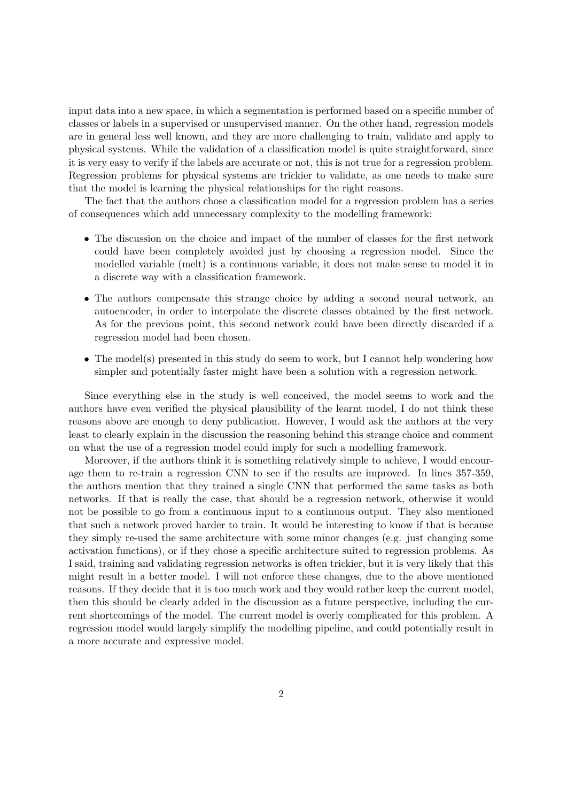input data into a new space, in which a segmentation is performed based on a specific number of classes or labels in a supervised or unsupervised manner. On the other hand, regression models are in general less well known, and they are more challenging to train, validate and apply to physical systems. While the validation of a classification model is quite straightforward, since it is very easy to verify if the labels are accurate or not, this is not true for a regression problem. Regression problems for physical systems are trickier to validate, as one needs to make sure that the model is learning the physical relationships for the right reasons.

The fact that the authors chose a classification model for a regression problem has a series of consequences which add unnecessary complexity to the modelling framework:

- The discussion on the choice and impact of the number of classes for the first network could have been completely avoided just by choosing a regression model. Since the modelled variable (melt) is a continuous variable, it does not make sense to model it in a discrete way with a classification framework.
- The authors compensate this strange choice by adding a second neural network, an autoencoder, in order to interpolate the discrete classes obtained by the first network. As for the previous point, this second network could have been directly discarded if a regression model had been chosen.
- The model(s) presented in this study do seem to work, but I cannot help wondering how simpler and potentially faster might have been a solution with a regression network.

Since everything else in the study is well conceived, the model seems to work and the authors have even verified the physical plausibility of the learnt model, I do not think these reasons above are enough to deny publication. However, I would ask the authors at the very least to clearly explain in the discussion the reasoning behind this strange choice and comment on what the use of a regression model could imply for such a modelling framework.

Moreover, if the authors think it is something relatively simple to achieve, I would encourage them to re-train a regression CNN to see if the results are improved. In lines 357-359, the authors mention that they trained a single CNN that performed the same tasks as both networks. If that is really the case, that should be a regression network, otherwise it would not be possible to go from a continuous input to a continuous output. They also mentioned that such a network proved harder to train. It would be interesting to know if that is because they simply re-used the same architecture with some minor changes (e.g. just changing some activation functions), or if they chose a specific architecture suited to regression problems. As I said, training and validating regression networks is often trickier, but it is very likely that this might result in a better model. I will not enforce these changes, due to the above mentioned reasons. If they decide that it is too much work and they would rather keep the current model, then this should be clearly added in the discussion as a future perspective, including the current shortcomings of the model. The current model is overly complicated for this problem. A regression model would largely simplify the modelling pipeline, and could potentially result in a more accurate and expressive model.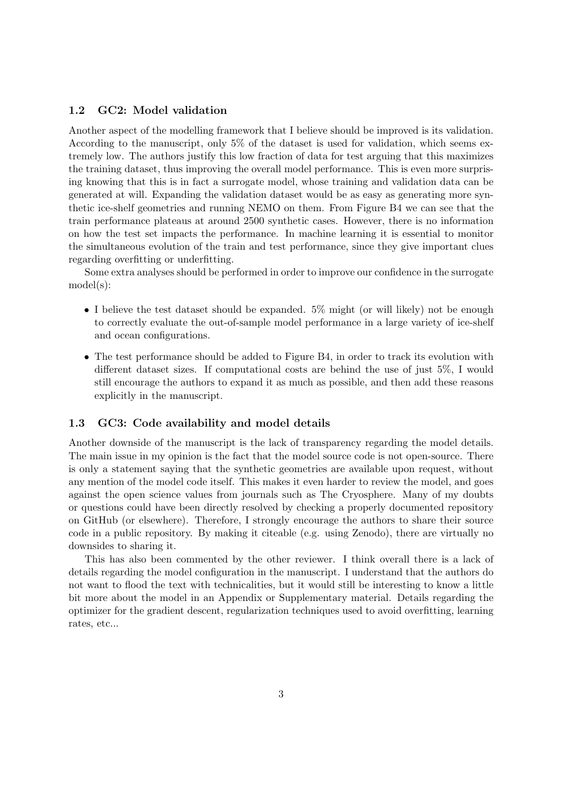## 1.2 GC2: Model validation

Another aspect of the modelling framework that I believe should be improved is its validation. According to the manuscript, only 5% of the dataset is used for validation, which seems extremely low. The authors justify this low fraction of data for test arguing that this maximizes the training dataset, thus improving the overall model performance. This is even more surprising knowing that this is in fact a surrogate model, whose training and validation data can be generated at will. Expanding the validation dataset would be as easy as generating more synthetic ice-shelf geometries and running NEMO on them. From Figure B4 we can see that the train performance plateaus at around 2500 synthetic cases. However, there is no information on how the test set impacts the performance. In machine learning it is essential to monitor the simultaneous evolution of the train and test performance, since they give important clues regarding overfitting or underfitting.

Some extra analyses should be performed in order to improve our confidence in the surrogate model(s):

- I believe the test dataset should be expanded. 5% might (or will likely) not be enough to correctly evaluate the out-of-sample model performance in a large variety of ice-shelf and ocean configurations.
- The test performance should be added to Figure B4, in order to track its evolution with different dataset sizes. If computational costs are behind the use of just 5%, I would still encourage the authors to expand it as much as possible, and then add these reasons explicitly in the manuscript.

#### 1.3 GC3: Code availability and model details

Another downside of the manuscript is the lack of transparency regarding the model details. The main issue in my opinion is the fact that the model source code is not open-source. There is only a statement saying that the synthetic geometries are available upon request, without any mention of the model code itself. This makes it even harder to review the model, and goes against the open science values from journals such as The Cryosphere. Many of my doubts or questions could have been directly resolved by checking a properly documented repository on GitHub (or elsewhere). Therefore, I strongly encourage the authors to share their source code in a public repository. By making it citeable (e.g. using Zenodo), there are virtually no downsides to sharing it.

This has also been commented by the other reviewer. I think overall there is a lack of details regarding the model configuration in the manuscript. I understand that the authors do not want to flood the text with technicalities, but it would still be interesting to know a little bit more about the model in an Appendix or Supplementary material. Details regarding the optimizer for the gradient descent, regularization techniques used to avoid overfitting, learning rates, etc...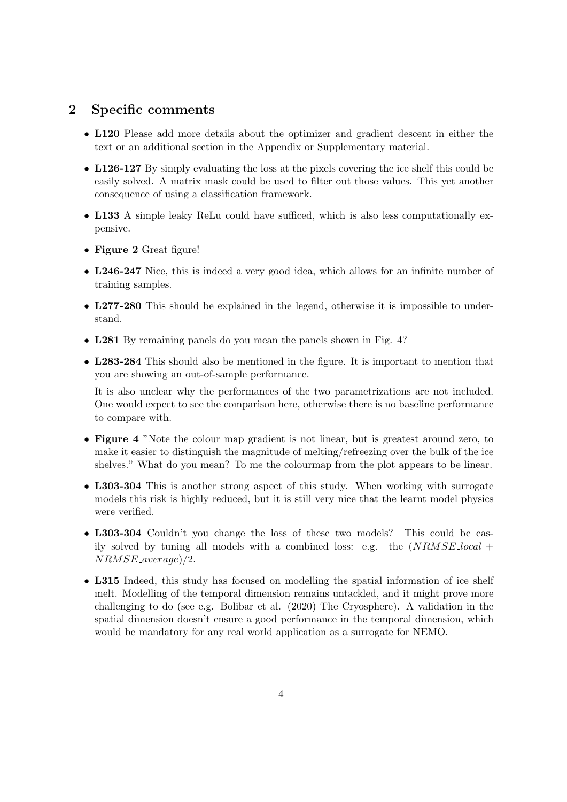## 2 Specific comments

- L120 Please add more details about the optimizer and gradient descent in either the text or an additional section in the Appendix or Supplementary material.
- L126-127 By simply evaluating the loss at the pixels covering the ice shelf this could be easily solved. A matrix mask could be used to filter out those values. This yet another consequence of using a classification framework.
- L133 A simple leaky ReLu could have sufficed, which is also less computationally expensive.
- Figure 2 Great figure!
- L246-247 Nice, this is indeed a very good idea, which allows for an infinite number of training samples.
- L277-280 This should be explained in the legend, otherwise it is impossible to understand.
- L281 By remaining panels do you mean the panels shown in Fig. 4?
- L283-284 This should also be mentioned in the figure. It is important to mention that you are showing an out-of-sample performance.

It is also unclear why the performances of the two parametrizations are not included. One would expect to see the comparison here, otherwise there is no baseline performance to compare with.

- Figure 4 "Note the colour map gradient is not linear, but is greatest around zero, to make it easier to distinguish the magnitude of melting/refreezing over the bulk of the ice shelves." What do you mean? To me the colourmap from the plot appears to be linear.
- L303-304 This is another strong aspect of this study. When working with surrogate models this risk is highly reduced, but it is still very nice that the learnt model physics were verified.
- L303-304 Couldn't you change the loss of these two models? This could be easily solved by tuning all models with a combined loss: e.g. the  $(NRMSE\_local +$ NRMSE average)/2.
- L315 Indeed, this study has focused on modelling the spatial information of ice shelf melt. Modelling of the temporal dimension remains untackled, and it might prove more challenging to do (see e.g. Bolibar et al. (2020) The Cryosphere). A validation in the spatial dimension doesn't ensure a good performance in the temporal dimension, which would be mandatory for any real world application as a surrogate for NEMO.